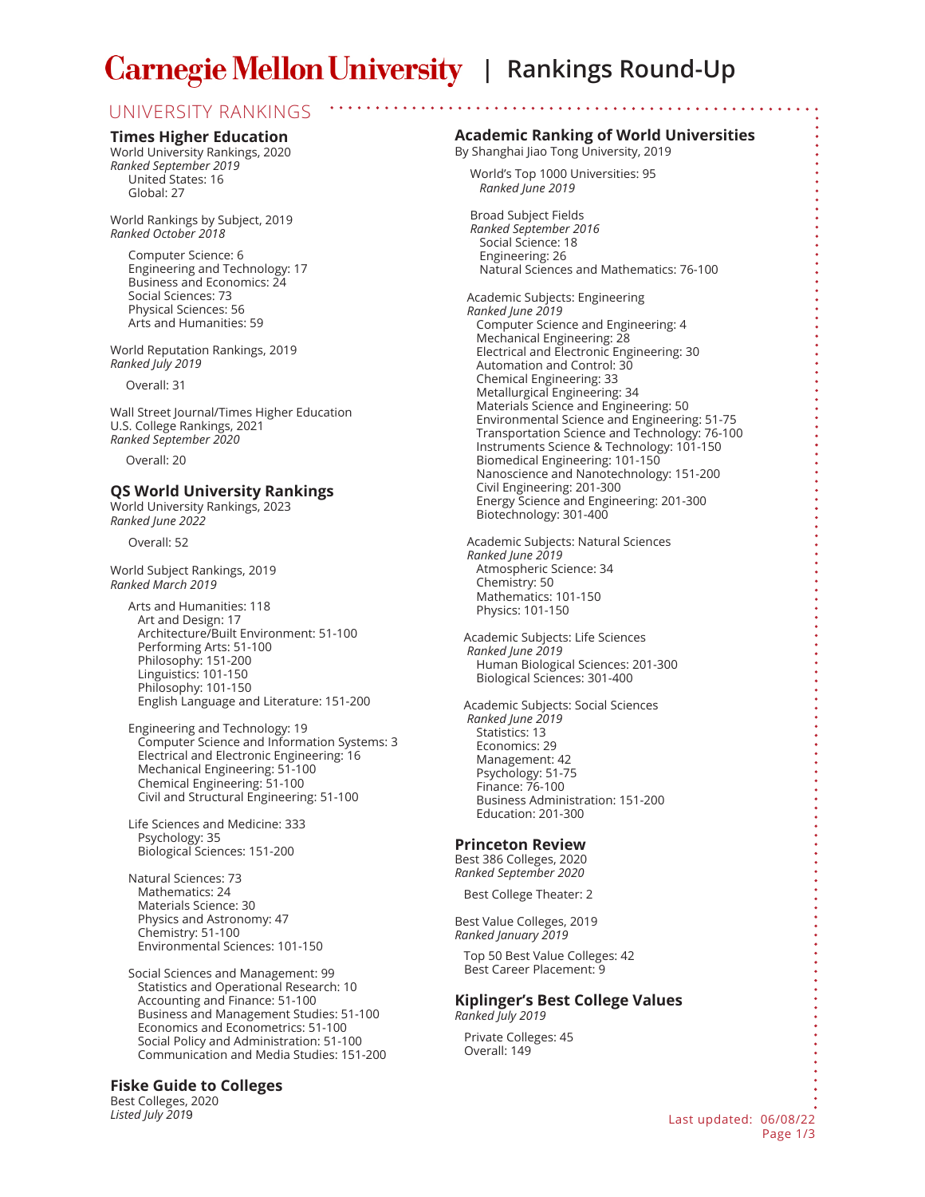# **Carnegie Mellon University** | Rankings Round-Up

# UNIVERSITY RANKINGS

#### **Times Higher Education**

World University Rankings, 2020 *Ranked September 2019* United States: 16 Global: 27

World Rankings by Subject, 2019 *Ranked October 2018*

Computer Science: 6 Engineering and Technology: 17 Business and Economics: 24 Social Sciences: 73 Physical Sciences: 56 Arts and Humanities: 59

World Reputation Rankings, 2019 *Ranked July 2019*

Overall: 31

Wall Street Journal/Times Higher Education U.S. College Rankings, 2021 *Ranked September 2020*

Overall: 20

## **QS World University Rankings**

World University Rankings, 2023 *Ranked June 2022*

Overall: 52

World Subject Rankings, 2019 *Ranked March 2019*

> Arts and Humanities: 118 Art and Design: 17 Architecture/Built Environment: 51-100 Performing Arts: 51-100 Philosophy: 151-200 Linguistics: 101-150 Philosophy: 101-150 English Language and Literature: 151-200

Engineering and Technology: 19 Computer Science and Information Systems: 3 Electrical and Electronic Engineering: 16 Mechanical Engineering: 51-100 Chemical Engineering: 51-100 Civil and Structural Engineering: 51-100

Life Sciences and Medicine: 333 Psychology: 35 Biological Sciences: 151-200

Natural Sciences: 73 Mathematics: 24 Materials Science: 30 Physics and Astronomy: 47 Chemistry: 51-100 Environmental Sciences: 101-150

Social Sciences and Management: 99 Statistics and Operational Research: 10 Accounting and Finance: 51-100 Business and Management Studies: 51-100 Economics and Econometrics: 51-100 Social Policy and Administration: 51-100 Communication and Media Studies: 151-200

### **Fiske Guide to Colleges**

Best Colleges, 2020

### **Academic Ranking of World Universities**

By Shanghai Jiao Tong University, 2019

 World's Top 1000 Universities: 95 *Ranked June 2019*

 Broad Subject Fields *Ranked September 2016* Social Science: 18 Engineering: 26 Natural Sciences and Mathematics: 76-100

 Academic Subjects: Engineering  *Ranked June 2019* Computer Science and Engineering: 4 Mechanical Engineering: 28 Electrical and Electronic Engineering: 30 Automation and Control: 30 Chemical Engineering: 33 Metallurgical Engineering: 34 Materials Science and Engineering: 50 Environmental Science and Engineering: 51-75 Transportation Science and Technology: 76-100 Instruments Science & Technology: 101-150 Biomedical Engineering: 101-150 Nanoscience and Nanotechnology: 151-200 Civil Engineering: 201-300 Energy Science and Engineering: 201-300 Biotechnology: 301-400

 Academic Subjects: Natural Sciences *Ranked June 2019* Atmospheric Science: 34 Chemistry: 50 Mathematics: 101-150 Physics: 101-150

Academic Subjects: Life Sciences *Ranked June 2019* Human Biological Sciences: 201-300 Biological Sciences: 301-400

Academic Subjects: Social Sciences *Ranked June 2019* Statistics: 13 Economics: 29 Management: 42 Psychology: 51-75 Finance: 76-100 Business Administration: 151-200 Education: 201-300

### **Princeton Review**

Best 386 Colleges, 2020 *Ranked September 2020*

Best College Theater: 2

Best Value Colleges, 2019 *Ranked January 2019*

Top 50 Best Value Colleges: 42 Best Career Placement: 9

#### **Kiplinger's Best College Values**  *Ranked July 2019*

 Private Colleges: 45 Overall: 149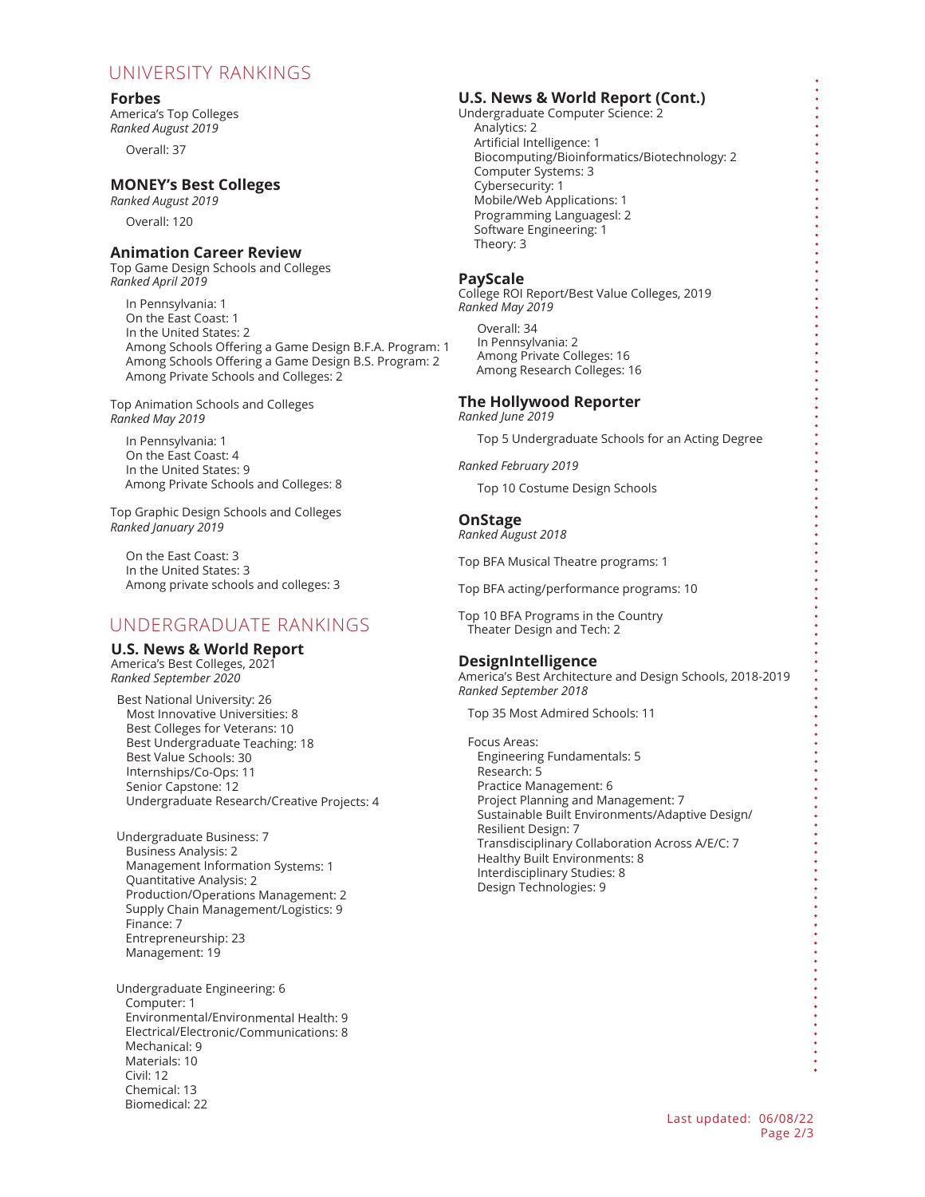# UNIVERSITY RANKINGS

### **Forbes**

America's Top Colleges *Ranked August 2019*

Overall: 37

# **MONEY's Best Colleges**

*Ranked August 2019*

Overall: 120

# **Animation Career Review**

Top Game Design Schools and Colleges *Ranked April 2019*

 In Pennsylvania: 1 On the East Coast: 1 In the United States: 2 Among Schools Offering a Game Design B.F.A. Program: 1 Among Schools Offering a Game Design B.S. Program: 2 Among Private Schools and Colleges: 2

Top Animation Schools and Colleges *Ranked May 2019*

 In Pennsylvania: 1 On the East Coast: 4 In the United States: 9 Among Private Schools and Colleges: 8

Top Graphic Design Schools and Colleges *Ranked January 2019*

 On the East Coast: 3 In the United States: 3 Among private schools and colleges: 3

# UNDERGRADUATE RANKINGS

## **U.S. News & World Report**

America's Best Colleges, 2021 *Ranked September 2020*

 Best National University: 26 Most Innovative Universities: 8 Best Colleges for Veterans: 10 Best Undergraduate Teaching: 18 Best Value Schools: 30 Internships/Co-Ops: 11 Senior Capstone: 12 Undergraduate Research/Creative Projects: 4

 Undergraduate Business: 7 Business Analysis: 2 Management Information Systems: 1 Quantitative Analysis: 2 Production/Operations Management: 2 Supply Chain Management/Logistics: 9 Finance: 7 Entrepreneurship: 23 Management: 19

 Undergraduate Engineering: 6 Computer: 1 Environmental/Environmental Health: 9 Electrical/Electronic/Communications: 8 Mechanical: 9 Materials: 10 Civil: 12 Chemical: 13 Biomedical: 22

# **U.S. News & World Report (Cont.)**

Undergraduate Computer Science: 2 Analytics: 2 Artificial Intelligence: 1 Biocomputing/Bioinformatics/Biotechnology: 2 Computer Systems: 3 Cybersecurity: 1 Mobile/Web Applications: 1 Programming Languagesl: 2 Software Engineering: 1 Theory: 3

### **PayScale**

College ROI Report/Best Value Colleges, 2019 *Ranked May 2019*

 Overall: 34 In Pennsylvania: 2 Among Private Colleges: 16 Among Research Colleges: 16

#### **The Hollywood Reporter** *Ranked June 2019*

Top 5 Undergraduate Schools for an Acting Degree

*Ranked February 2019*

Top 10 Costume Design Schools

## **OnStage**

*Ranked August 2018*

Top BFA Musical Theatre programs: 1

Top BFA acting/performance programs: 10

Top 10 BFA Programs in the Country Theater Design and Tech: 2

## **DesignIntelligence**

America's Best Architecture and Design Schools, 2018-2019 *Ranked September 2018*

Top 35 Most Admired Schools: 11

 Focus Areas: Engineering Fundamentals: 5 Research: 5 Practice Management: 6 Project Planning and Management: 7 Sustainable Built Environments/Adaptive Design/ Resilient Design: 7 Transdisciplinary Collaboration Across A/E/C: 7 Healthy Built Environments: 8 Interdisciplinary Studies: 8 Design Technologies: 9